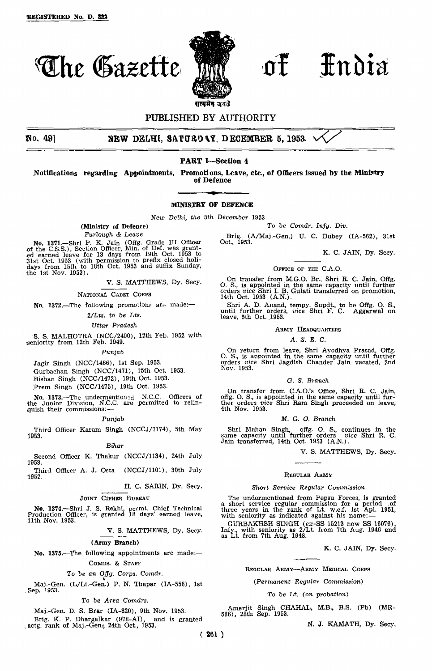

# **The Gazette in of Fndia**

# PUBLISHED BY AUTHORITY

**No. 49] NEW DELHI, SATURDAY, DECEMBER 5, 1953**

# **PART I—Section 4**

**Notifications regarding Appointments, Promotions, Leave, etc., of Officers issued by the Ministry of Defence**

#### **MINISTRY OF DEFENCE**

*New Delhi, the 5th December* 1953

(Ministry of Defence)

*Furlough & Leave*

No. 1371.—Shri P. K. Jain (Offg. Grade III Officer of the C.S.S.), Section Officer, Min. of Def. was granted earned leave for 13 days from 19th Oct. 1953 to 3l3t Oct. 1953 (with permission to prefix closed holidays from 15th to 18th Oct. 1953 and suffix Sunday, the 1st Nov. 1953).

V. S. MATTHEWS, Dy. Secy.

NATIONAL CADET CORPS

No. 1372.—The following promotions are made:—

*2/Lts. to be Lts.*

*Uttar Pradesh*

S. S. MALHOTRA (NCC/2400), 12th Feb. 1952 with seniority from 12th Feb. 1949.

#### Punjab

Jagir Singh (NCC/1466), 1st Sep. 1953. Gurbachan Singh (NCC/1471), 15th Oct. 1953. Bishan Singh (NCC/1472), 19th Oct. 1953. Prem Singh (NCC/1475), 19th Oct. 1953.

No. 1373.—The undermention<sub>2d</sub> N.C.C. Officers of the Junior Division, N.C.C. are permitted to relin-quish their commissions:—

#### Punjab

Third Officer Karam Singh (NCCJ/7174), 5th May 1953.

# Bihar

Second Officer K. Thakur (NCCJ/1134), 24th July 1953.

Third Officer A. J. Osta (NCCJ/1101), 30th July 1952.

H. C. SARIN, Dy. Secy.

JOINT CIPHER BUREAU

No. **1374.—**Shri J. S. Rekhi permt. Chief Technical Production Officer, is granted 18 days' earned leave, 11th Nov. 1953.

V. S. MATTHEWS, Dy. Secy.

#### **(Army Branch)**

No. **1375.—**The following appointments are made:— COMDS. & STAFF

To be an *Offg. Corps. Comdr.* Maj.-Gen. (L/Lt.-Gen.) P. N. Thapar (IA-558), 1st Sep. 1953.

To be *Area Comdrs.*

Maj.-Gen. D. S. Brar (IA-820), 9th Nov. 1953.

Brig. K. P. Dhargalkar (978-AI), and is granted actg. rank of Mai.-Gen., 24th Oct., 1953.

*To* be Comdr, *Infy. Div.*

Brig. (A/Maj.-Gen.) U. C. Dubey (IA-562), 31st Oct., 1953.

K. C. JAIN, Dy. Secy.

#### OFFICE OF THE C.A.O.

On transfer from M.G.O. Br., Shri R. C. Jain, Offg. O. S., is appointed in the same capacity until further orders *vice* Shri I. B. Gulati transferred on promotion, 14th Oct. 1953 (A.N.).

Shri A. D. Anand, tempy. Supdt., to be Offg. O. S., until further orders, *vice* Shri F. C. Aggarwal on leave, 5th Oct. 1953.

#### ARMY HEADQUARTERS

A. S. *E. C.*

On return from leave, Shri Ayodhya Prasad, Offg.<br>O. S., is appointed in the same capacity until further<br>orders *vice* Shri Jagdish Chander Jain vacated, 2nd Nov. 1953.

#### *G. S. Branch*

On transfer from C.A.O.'s Office, Shri R. C. Jain, offg. O. S., is appointed in the same capacity until fur-ther orders *vice* Shri Ram Singh proceeded on leave, 4th Nov. 1953.

#### *M.* G. *O. Branch*

Shri Mahan Singh, offg. O. S., continues in the same capacity until further orders *vice* - Shri R. C. Jain transferred, 14th Oct. 1953 (A.N.).

V. S. MATTHEWS, Dy. Secy.

#### REGULAR ARMY

#### *Short Service Regular Commission*

The undermentioned from Pepsu Forces, is granted<br>a short service regular commission for a period of<br>three years in the rank of Lt. w.e.f. 1st Apl. 1951,<br>with seniority as indicated against his name:

GURBAKHSH SINGH (ex-SS 15213 now SS 16076), Infy., with seniority as 2/Lt. from 7th Aug. 1946 and as Lt. from 7th Aug. 1948.

K. C. JAIN, Dy. Secy.

#### REGULAR ARMY—ARMY MEDICAL CORPS

#### *{Permanent Regular Commission)*

#### *To be Lt. (on probation)*

Amarjit Singh CHAHAL, M.B., B.S. (Pb) (MR-586), 28th Sep. 1953.

N. J. KAMATH, Dy. Secy.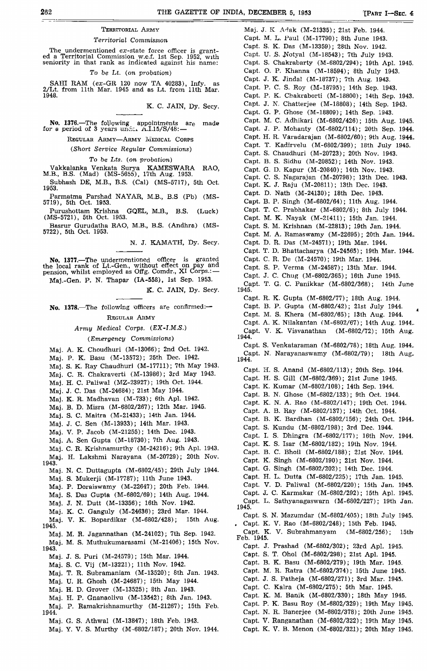#### TERRITORIAL ARMY

#### *Territorial Commission*

The undermentioned  $ex$ -state force officer is grant-<br>ed a Territorial Commission w.e.f. 1st Sep. 1952, with<br>seniority in that rank as indicated against his name:

# *To be Lt.* (on probation)

SAHI RAM (ez-GR 120 now TA 40283), Infy. as 2/Lt. from 11th Mar. 1945 and as Lt. from 11th Mar. 1948.

K. C. JAIN, Dy. Secy.

No. 1376.—The following appointments are made<br>for a period of 3 years under A.I.15/S/48:—

REGULAR ARMY-ARMY MEDICAL CORPS

*(Short Service Regular Commissions)*

*To* be *Lts. (on probation)*

Vakkalanka Venkata Surya KAMESWARA RAO, M.B., B.S. (Mad) (MS-5655), 17th Aug. 1953.

Subhash DE, M.B., B.S. (Cal) (MS-5717), 5th Oct. 1953.

Parmatma Parshad NAYAR, M.B., B.S (Pb) (MS-5719), 5th Oct. 1953.

Purushottam Krishna GQEL, M.B., B.S. (Luck) (MS-5721), 5th Oct. 1953.

Basrur Gurudatha RAO, M.B., B.S. (Andhra) (MS-5722), 5th Oct. 1953.

N. J. KAMATH, Dy. Secy.

**No. 1377.**—The undermentioned officer is granted the local rank of Lt.-Gen., without effect on pay and pension, whilst employed as Offg. Comdr., XI Corps.:—

Maj.-Gen. P. N. Thapar (IA-558), 1st Sep. 1953.

K. C. JAIN, Dy. Secy.

**No. 1378.**—The following Officers are confirmed:— REGULAR ARMY

# *Army Medical Corps. (EX-I.M.S.)*

# *(Emergency Commissions)*

Maj. A. K. Choudhuri (M-13066); 2nd Oct. 1942.

- Maj. P. K. Basu (M-13572); 25th Dec. 1942.
- Maj. S. K. Ray Chaudhuri (M-17711); 7th May 1943.
- Maj. C. R. Chakraverti (M-13986); 3rd May 1943.
- Maj. H. C. Paliwal (MZ-23927); 19th Oct. 1944.

Maj. J. C. Das (M-24684); 21st May 1944.

Maj. K. R. Madhavan (M-733); 6th Apl. 1942.

- Maj. B. D. Misra (M-6802/267); 12th Mar. 1945.
- Maj. S. C. Maitra (M-21433); 14th Jan. 1944.

Maj. J. C. Sen (M-13933); 14th Mar. 1943.

Maj. V. P. Jacob (M-21255); 14th Dec. 1943.

Maj. A. Sen Gupta (M-18730); 7th Aug. 1943.

Maj. C. R. Krishnamurthy (M-24216); 9th Apl. 1943.

- Maj. H. Lakshmi Narayana (M-20729); 20th Nov. 1943.
- Maj. N. C. Duttagupta (M-6802/45); 29th July 1944.
- Maj. S. Mukerji (M-17787); 11th June 1943.
- Maj. P. Doraiswamy (M-22647); 20th Feb. 1944.
- Maj. S. Das Gupta (M-6802/69); 14th Aug. 1944.
- Maj. J. N. Dutt (M-13356); 16th Nov. 1942.
- Maj. K. C. Ganguly (M-24636); 23rd Mar. 1944.
- Maj. V. K. Bopardikar (M-6802/428); 15th Aug. 1945.
- Maj. M. R. Jagannathan (M-24102); 7th Sep. 1942. Maj. M. S. Muthukumarasaml (M-21406); 15th Nov.
- 1943.
	- Maj. J. S. Puri (M-24579); 15th Mar. 1944.
	- Maj. S. C. Vij (M-13221); 11th Nov. 1942.
	- Maj. T. R. Subramaniam (M-13520); 8th Jan. 1943.
	- Maj. U. R. Ghosh (M-24687); 15th May 1944.
	- Maj. H. D. Grover (M-13525); 8th Jan. 1943.
	- Maj. H. P. Gnanaolivu (M-13542); 8th Jan. 1943.
- Maj. P. Ramakrishnamurthy (M-21267); 15th Feb. 1944.
	- Maj. G. S. Athwal (M-13847); 18th Feb. 1943.
	- Maj. Y. V. S. Murthy (M-6802/187); 20th Nov. 1944.

Maj. J. K Adak (M-21335); 21st Feb. 1944. Capt. M. L. Paul (M-17790); 8th June 1943. Capt. S. K. Das (M-13359); 28th Nov. 1942. Capt. U. S. Notyal (M-18543); 7th July 1943. Capt. S. Chakrabarty (M-6802/294); 19th Apl. 1945. Capt. O. P. Khanna (M-18594); 8th July 1943. Capt. J. K. Jindal (M-18737); 7th Aug. 1943. Capt. P. C. S. Roy (M-18795); 14th Sep. 1943. Capt. P. K. Chakraborti (M-18800); 14th Sep. 1943. Capt. J. N, Chatterjee (M-18808); 14th Sep. 1943. Capt. G. P. Ghose (M-18809); 14th Sep. 1943. Capt. M. C. Adhikari (M-6802/426); 15th Aug. 1945. Capt. J. P. Mohanty (M-6802/114); 20th Sep. 1944. Capt. H. R. Varadarajan (M-6802/60); 9th Aug. 1944. Capt. T. Kadirvelu (M-6802/399); 18th July 1945. Capt. S. Chaudhuri (M-20723); 20th Nov. 1943. Capt. B. S. Sidhu (M-20852); 14th Nov. 1943. Capt. G. D. Kapur (M-20840); 14th Nov. 1943. Capt. C. S. Nagarajan (M-20798); 13th Dec. 1943. Capt. K. J. Raju (M-20811); 13th Dec. 1943. Capt. D. Nath (M-24130); 18th Dec. 1943. Capt. B. P. Singh (M-6802/64); 11th Aug. 1944. Capt. T. C. Prabhakar (M-6802/6); 8th July 1944. Capt. M. K. Nayak (M-21411); 15th Jan. 1944. Capt. S. M. Krlshnan (M-22813); 19th Jan. 1944. Capt. M. A. Ramaswamy (M-22695); 20th Jan. 1944. Capt. D. R. Das (M-24571); 19th Mar. 1944. Capt. T. D. Bhattacharya (M-24565); 19th Mar. 1944. Capt. C. R. De (M-24570); 19th Mar. 1944. Capt. S. P. Verma (M-24587); 13th Mar. 1944. Capt. J. C. Chug (M-6802/365); 16th June 1945. Capt. T. G. C. Panikkar (M-6802/368); 14th June 1945. Capt. R. K. Gupta (M-6802/77); 18th Aug. 1944. Capt. B. P. Gupta (M-6802/42); 21st July 1944. Capt. M. S. Khera (M-6802/65); 13th Aug. 1944. Capt. A. K. Nilakantan (M-6802/67); 14th Aug. 1944. Capt. V. K. Visvanathan (M-6802/72); 15th Aug. 1944. Capt. S. Venkataraman (M-6802/78); 18th Aug. 1944. Capt. N. Narayanaswamy (M-6802/79); 18th Aug, 1944. Capt. H. S. Anand (M-0802/113); 20th Sep. 1944. Capt. H. S. Gill (M-6802/369); 21st June 1945. Capt. K. Kumar (M-6802/108); 14th Sep. 1944. Capt. B. N. Ghose (M-6802/133); 9th Oct. 1944. Capt. K. N. A. Rao (M-6802/147); 19th Oct. 1944. Capt. A. B. Ray (M-6802/137); 14th Oct. 1944. Capt. B. K. Bardhan (M-6802/156); 24th Oct. 1944. Capt. S. Kundu (M-6802/198); 3rd Dec. 1944. Capt. I. S. Dhingra (M-6802/177); 16th Nov. 1944. Capt. K. S. Isar (M-6802/182); 19th Nov. 1944. Capt. B. C. Bhoil (M-6802/188); 21st Nov. 1944. Capt. K. Singh (M-6802/190); 21st Nov. 1944. Capt. G. Singh (M-6802/202); 14th Dec. 1944. Capt. H. L. Dutta (M-6802/225); 17th Jan. 1945. Capt. V. D. Paliwal (M-6802/220); 15th Jan. 1945. Capt. J. C. Karmakar (M-6802/292); 15th Apl. 1945. Capt. L. Sathyanagaswarn (M-6802/227); 19th Jan. 1945. Capt. S. N. Mazumdar (M-6802/405); 18th July 1945. . Capt. K. V. Rao (M-6802/248); 15th Feb. 1945. Capt. K. V. Subrahmanyam (M-6802/256); 15th Feb. 1945. Capt. J. Prashad (M-6802/302); 23rd Apl. 1945. Capt. S. T. Ohol (M-6802/298); 21st Apl. 1945. Capt. B. K. Basu (M-6802/279); 19th Mar. 1945. Capt. M. R. Ratra (M-6802/374); 15th June 1945. Capt. J. S. Patheja (M-6802/271); 3rd Mar. 1945. Capt. C. Kalra (M-6802/275); 5th Mar. 1945. Capt. K. M. Banik (M-6802/330); 18th May 1945. Capt. P. K. Basu Roy (M-6802/329); 19th May 1945. Capt. N. R. Banerjee (M-6802/378); 20th June 1945. Capt. V. Ranganathan (M-6802/322); 19th May 1945. Capt. K. V. B. Menon (M-6802/321); 20th May 1945.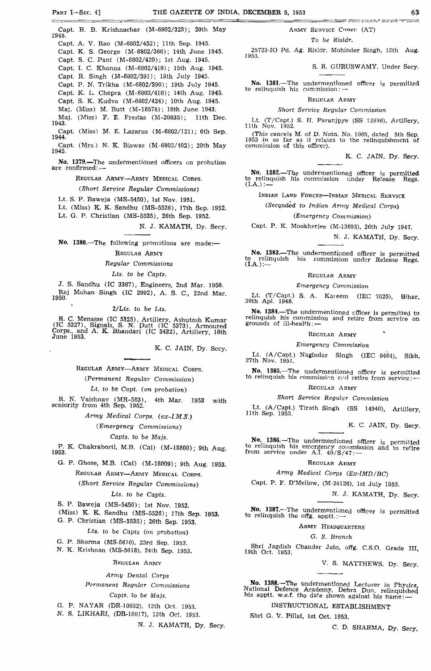Capt. B. B. Krishnachar (M-6802/323); 20th May 1945. Capt. A. V. Rao (M-6802/452); 11th Sep. 1945. Capt. K. S. George (M-6802/366); 14th June 1945. Capt. S. C. Pant (M-6802/420); 1st Aug. 1945. Capt. I. C. Khanna (M-6802/419); 15th Aug. 1945. Capt. R. Singh (M-6802/391); 19th July 1945. Capt. P. N. Trlkha (M-6802/390); 19th July 1945. Capt. K. L. Chopra (M-6802/410); 14th Aug. 1945. Capt. S. K. Kudva (M-6802/424); 10th Aug. 1945. Maj. (Miss) M. Butt (M-18578); 18th June 1943. Maj. (Miss) F. E. Freitas (M-20835); 11th Dec. 1943. Capt. (Miss) M. E. Lazarus (M-6802/121); 6th Sep.<br>1944. Capt. (Mrs.) N. K. Biswas (M-6802/402); 20th May 1945.

**No. 1379.**—The undermentioned officers on probation are confirmed:

#### REGULAR ARMY—ARMY MEDICAL CORPS.

#### *(Short Service Regular Commissions)*

Lt. S. P. Baweja (MS-5450), 1st Nov. 1951.

Lt. (Miss) K. K. Sandhu (MS-5526), 17th Sep. 1952. Lt. G. P. Christian (MS-5535), 26th Sep. 1952.

N. J. KAMATH, Dy. Secy.

**No. 1380.—**The following promotions are made:—

#### REGULAR ARMY

#### *Regular Commissions*

#### *Lts, to be Capts.*

J. S. Sandhu (IC 3367), Engineers, 2nd Mar. 1950. Raj Mohan Singh (IC 2992), A. S. C, 22nd Mar. 1950.

#### *2/Lts. to be Lts.*

R. C. Menasse (IC 5325), Artillery, Ashutosh Kumar (IC 5327), Signals, S. N. Dutt (IC 5373), Armoured Corps., and A. K. Bhandari (IC 5432), Artillery 10th June 1953.

K. C. JAIN, Dy. Secy.

REGULAR ARMY—ARMY MEDICAL CORPS.

# *(Permanent Regular Commission)*

*Lt. to be Capt. (on probation)*

R. N. Vaishnav (MR-583), 4th Mar. 1953 with seniority from 4th Sep. 1952.

#### *Army Medical Corps. (ex-I.M.S.)*

*(Emergency Commissions)*

#### *Capts. to be Majs.*

P. K, Chakraborti, M.B. (Cal) (M-18800); 9th Aug.

G. P. Ghose, M.B. (Cal) (M-18809); 9th Aug. 1953. REGULAR ARMY—ARMY MEDICAL CORPS.

*(Short Service Regular Commissions)*

#### *Lts. to be Capts.*

S. P. Baweja (MS-5450); 1st Nov. 1952.

(Miss) K. K. Sandhu (MS-5526); 17th Sep. 1953.

G. P. Christian (MS-5535); 26th Sep. 1953.

# Lts. to be Capts *(on probation)*

G. P. Sharma (MS-5610), 23rd Sep. 1953.

N. K. Krishnan (MS-5618), 24th Sep. 1953.

#### REGULAR ARMY

#### *Army Dental Corps*

*Permanent Regular Commissions*

#### *Capts. to be Majs.*

G. P. NAYAR (DR-10032), 13th Oct. 1953.

N. S. LIKHARI, (DR-10017), 13th Oct. 1953.

N. J. KAMATH, Dy. Secy.

# ARMY SERVICE CORPS (AT)

# To be *Risldr.*

25723-IO Pd. Ag. Risldr. Mohinder Singh, 12th Aug. 1953.

#### S. R. GURUSWAMY, Under Secy.

**STATE AND THE SERVER OF STATE** 

**No. 1381.**—The undermentioned officer is permitted to relinquish his commission:

#### REGULAR ARMY

#### *Short Service Regular Commission*

Lt. (T/Capt.) S. H. Faranjpye (SS 13936), Artillery, 11th Nov. 1952.

(This cancels M. of D. Notn, No. 1005, dated 5th Sep. 1953 in so far 83 it relates to the relinquishment of commission of this officer).

K. C. JAIN, Dy. Secy.

No. **1382.**—The undermentioned officer is permitted to relinquish his commission under Release Regs. to relinquish his commission<br> $(LA.):$  —

INDIAN LAND FORCES—INDIAN MEDICAL SERVICE

#### *(Secqnded to Indian Army Medical Corps)*

# *(Emergency Commission)*

Capt. P. K. Mookherjee (M-13693), 26th July 1947.

N. J. KAMATH, Dy. Secy.

No. **1383.**—The undermentioned officer is permitted his commission under Release Regs. (I.A.):—

#### REGULAR ARMY

#### *Emergency Commission*

 $(T/Capt.)$  S. A. Kateem (IEC 7025), Bihar, Lt.  $(T/Capt.)$ <br>30th Apl. 1948.

**No. 1384.—The undermentioned officer is permitted to relinquish his commission and retire from service on grounds of ill-health:—** 

# REGULAR ARMY

#### *Emergency Commission*

Lt. (A/Capt) Nagindar Singh (IEC 9464), Sikh, 27th Nov. 1951.

**No. 1385.—The undermentioned officer is permitted**<br>to relinquish his commission and retire from service: —

#### REGULAR ARMY

#### Short *Service Regular Commission*

Lt. (A/Capt.) Tirath Singh (SS 14940), Artillery, 11th Sep. 1953.

K. C. JAIN, Dy. Secy.

**No. 1386.—The undermentioned officer is permitted**<br>to relinquish his emergency commission and to refire<br>from service under A.I, 49/S/47;—

#### REGULAR ARMY

# *Army Medical Corps (Ex-IMD/BC)*

Capt. P. F. D'Mellow, (M-24126), 1st July 1953.

N. J. KAMATH, Dy. Secy.

No **1387.—-The** undermentioned officer is permitted to relinquish the offg. apptt. :-

#### ARMY HEADQUARTERS

#### *G. S. Branch*

Shri Jagdish Chander Jain. offg. C.S.O. Grade III 19th Oct. 1953.

V. S. MATTHEWS. Dy. Secy.

**No. 1388.—The undermentioned Lecturer in Physics,**<br>National Defence Academy, Dehra Dun. relinquished<br>his apptt. w.e.f. the date shown against his name: —

# INSTRUCTIONAL ESTABLISHMENT

Shri G. V. Pillai, 1st Oct. 1953.

C. D. SHARMA, Dy. Secy.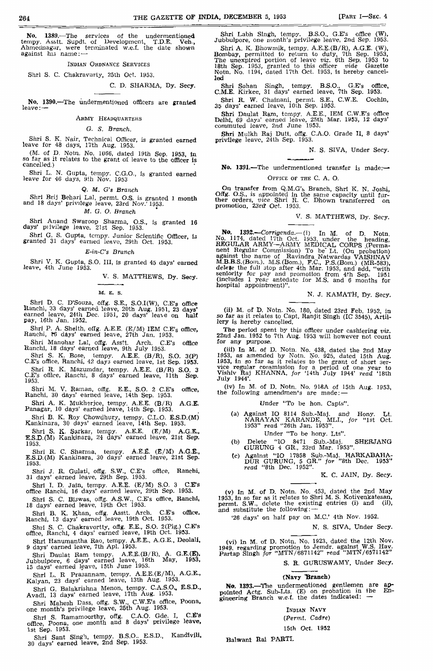No. 1389.—The services of the undermentioned tempy, Asstt. Supdt, of Development, T.D.E. Veh., Ahmednagar, were terminated w.e.f. the date shown against his name: —

INDIAN OHDNANCE SERVICES

Shri S. C. Chakravarly, 25th Oct. 1953.

C. D. SHARMA, Dy. Secy.

No. 1390.—The undermentioned officers are granted leave:-

#### ARMY HEADQUARTERS

#### *G. S, Branch.*

Shri S. K. Nair, Technical Officer, is granted earned leave for 48 days, 17th Aug. 1953.

(M. of D, Notn. No. 1066, dated 19th Sep. 1953, In so far as it relates to the grant of leave to the officer Is cancelled,)

Shri L. N. Gupta, tempy. C.G.O., is granted earned leave for 46 days, 9th Nov. 1953

Q. *M. G's Branch*

Shri Brij Behari Lai, permt. O.S. is granted 1 month and 18 days' privilege leave, 23rd Nov.' 1953.

*M. G. O. Branch*

Shri Anand Swaroop Sharma, O.S., is granted 16 days' piivilege leave, 21st Sep. 1953.

Shri G. S. Gupta, tempy. Junior Scientific Officer, is granted 31 days' earned leave, 29th Oct. 1953.

*E-in-C's Branch*

Shri V. K. Gupta, S.O. Ill, Is granted 45 days' earned leave, 4th June 1953.

V. S. MATTHEWS, Dy. Secy.

M. E. S.

Shri D. C. D'Souza, oifg. S.E., S.O.I(W), C.E'a office Ranchi, 33 days' earned leave, 20th Aug. 1951, 23 days' earned leave, 24th Dec. 1951, 20 days' leave on half pay, 16th Jan. 1952.

Shri P. A. Shelth, olfg. A.E.E. (E/M) 1EM C.E'S office, Ranchi, *W* days' earned leave, 27th Jan. 1953.

Shri Manohar Lai, offg. Asstt. Arch. C.E's office Ranchi, 18 days' earned leave, 9th July 1953.

Shri S. K. Bose, tempy. A.E.E. (B/R), S.O. 3(P) C.E's office, Ranchi, 42 day3 earned leave, 1st Sep. 1953.

Shri R. K, Mazumdar, tempy. A.E.E. (B/R) S.O. 3 C.E's office, Ranchi, 8 days' earned leave, 11th Sep. 1953.

Shri M. V. Raman, offg. E.E., S.O. 2 C.E's office, Ranchi, 30 days' earned leave, 14th Sep. 1953.

Shri A. K. Mukherjce, tempy. A.E.E. (B/R) **A.G.E.** Panagar, 10 days' earned leave, 14th Sep. 1953.

Shri B. K. Roy Chowdhury, tempy. C.L.O. E.S.D.(M) Kankinara, 30 days' earned leave, 14th Sep. 1353.

Shri S. K, Sarkar, tempy. A.E.E. (E/M) A.G.E., ESD.(M) Kankinara, 24 days' earned leave, 21st Sep. 1953.

Shri R. C. Sharma, tempy. A.E.E. (E/M) A.G.E., E.S.D.(M) Kankinara, 30 days' earned leave, 21st Sep. 1953.

Shri J. R. Gulati, offg. S.W., C.E's office, Ranchi, 31 days' earned leave, 29th Sep. 1953.

Shri I. D. Jain, tempy. A.E.E. (E/M) S.O. 3 C.E's office Ranchi, 16 days' earned leave, 29th Sep. 1953.

Shri S. C. Biswas, offg. A.S.W., C.E's office, Ranchi, 18 days' earned leave, 19th Oct 1953.

Shri B. K. Khan, offg. Asstt. Arch. C.E's office, Ranchi, 13 days' earned leave, 19th Oct. 1953.

Shri S. C. Chakravortty, offg. E.E., S.O. 2(Plg.) C.E's<br>office, Ranchi, 4 days' earned leave, 19th Oct. 1953.

Shri Hanumantha Rao, tempy. A.E.E., A.G.E,, Deolalf, 9 days' earned leave, 7th Apl. 1953. Shri Daulat Ram tompy, A.E.E.(B/R), A. G.E.(E).

Jubbulpore, 6 days' earned leave, 16th May, 1953, 15 days' earned leave, 15th June 1953.

Shri L. R Pra3annam, tempy. A.E.E.(E/M), A.G.E., Kalyan, 23 days' earned leave, 13th Aug. 1953.

Shri G. Balakrishna Menon, tempy. C.A.S.O., E.S.D.,<br>Avadi, 13 days' earned leave, 17th Aug. 1953.

Shri Mahesh Dass, offg. S.W., C.W.E's office, Poona, one month's privilege leave, 25th Aug. 1953.

Shri S. Ramamoorthy, offg. C.A.O. Gde. I, C.E's office, Poona, one month and 8 days' privilege leave, 1st Sep. 1953.

Shri Sant Singh, tempy. B.S.O.. E.S.D., KandlviU. 30 days' earned leave, 2nd Sep. 1953.

Shri Labh Singh, tempy. B.S.O., G.E's office (W), Jubbulpore, one month's privilege leave, 2nd Sep. 1953.

Shri A. K. Bhowmik, tempy. A.E.E.(B/R), A.G.E. (W), Bombay, permitted to return to duty, 7th Sep. 1953, The unexpired portion of leave *viz.* 6th Sep. 1953 to 18th Sep. 1953, granted to this officer *vide* Gazette Notn. No. 1194, dated 17th Oct. 1953, is hereby cancelled

Shri Sohan Singh, tempy. B.S.O., G.E's office, C.M.E. Kirkee, 31 days' earned leave, 7th Sep. 1953,

Shri R. W. Chainani, permt. S.E., C.W.E. Cochin, 35 days' earned leave, 10th Sep. 1953.

Shri Daulat Ram, tempy. A.E.E., IEM C.W.E's office Delhi, 69 days' earned leave, 25th Mar. 1953, 12 days' commuted leave, 2nd June 1953.

Shri Mulkh Raj Dutt, offg. C.A.O. Grade II, 8 days' privilege leave, 24th Sep. 1953.

N. S. SIVA, Under Secy.

**No. 1391.**—The undermentioned transfer is made:— OFFICE OF THE C. A. O.

On transfer from Q.M.G'<sub>S</sub> Branch, Shri K. N. Joshi, Offg. O.S., is appointed in the same capacity until fur-<br>ther orders, *vice* Shri R. C. Dhown transferred on<br>promotion, 23rd Oct. 1953.

V. S. MATTHEWS, Dy. Secy.

**No. 1392.**—*Corrigenda.*—(1) In M. of D. Notn.<br>No. 1174, dated 17th Oct. 1953, under the heading,<br>REGULAR ARMY-ARMY MEDICAL CORPS (Perma-<br>nent Regular Commission) To be Lt. (On probation)<br>against the name of Ravindra Nat

N. J. KAMATH, Dy. Secy.

(ii) M. of D. Notn. No. 180, dated 23rd Feb. 1952, in so far as it relates to Capt, Ranjit Singh (IC 3545), Artil-lery is hereby cancelled.

The period spent by this officer under cashiering *viz.* 22nd Jan. 1952 to 7th Aug. 1953 will however not count for any purpose.

(iii) In M. of D. Notn. No. 438, dated the 2nd May 1953, as amended by Notn. No. 925, dated 15th Aug. 1953, in so far as it relates to the grant of short service regular commission for a period of one year to Vishiv Raj K

(iv) In M. of D. Notn. No,  $918A$  of 15th Aug. 1953, the following amendments are made:  $-$ 

Under "To be hon. Capts".

(a) Against IO 8114 Sub.-Maj. and Hony. Lt.<br>
NARAYAN KARANDE, MLI., *for* "1st Oct.<br>
1953" *read* "26th Jan. 1953".

Under "To be hony. Lts".

- (b) Delete "IO 8471 Sub.-Maj. SHERJANG GURUNG 4 GR., 23rd Mar. 1953".
- (c) Against "IO 17858 Sub.-Maj. HARKABAHA-DUR GURUNG, 5 GR." *for* "8th Dec. 1953" *read* "8th Dec. 1952".

K. C. JAIN, Dy. Secy.

(v) In M. of D. Notn. No. 453, dated the 2nd May 1953, in so far as it relates to Shri M. S. Kotivenkatesan, permt. S.W., delete the existing entries (i) and (ii), and substitute the following:-

'26 days' on half pay on M.C.' 4th Nov. 1952.

N. S. SIVA, Under Secy.

(vi) In M, of D. Notn. No. 1923, dated' the 12th Nov. 1949 regarding promotion to Jemdr. against W.S. Hav. Partap Singh for "MTN/687U42" *read* "MTN/6571142"

S. R. GURUSWAMY, Under Secy.

# **(Navy ^Branch)**

**No. 1393.**—The undermentioned gentlemen are appointed Actg. Sub-Lts. (E) on probation in the En-gineering Branch w.e.f, the dates indicated: —

INDIAN NAVY

*(Permt. Cadre)*

15th Oct. 1952

Balwant Rai PAHTL